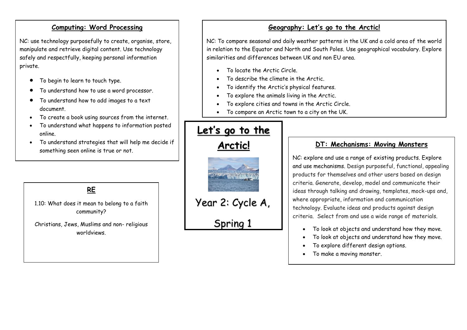#### **Computing: Word Processing**

NC: use technology purposefully to create, organise, store, manipulate and retrieve digital content. Use technology safely and respectfully, keeping personal information private.

- To begin to learn to touch type.
- To understand how to use a word processor.
- To understand how to add images to a text document.
- To create a book using sources from the internet.
- To understand what happens to information posted online.
- To understand strategies that will help me decide if something seen online is true or not.

**RE**

1.10: What does it mean to belong to a faith community?

Christians, Jews, Muslims and non- religious worldviews.

## **Geography: Let's go to the Arctic!**

NC: To compare seasonal and daily weather patterns in the UK and a cold area of the world in relation to the Equator and North and South Poles. Use geographical vocabulary. Explore similarities and differences between UK and non EU area.

- To locate the Arctic Circle.
- To describe the climate in the Arctic.
- To identify the Arctic's physical features.
- To explore the animals living in the Arctic.
- To explore cities and towns in the Arctic Circle.
- To compare an Arctic town to a city on the UK.

# Let's go to the

## **Arctic!**



```
Year 2: Cycle A,
```
Spring 1

### **DT: Mechanisms: Moving Monsters**

NC: explore and use a range of existing products. Explore and use mechanisms. Design purposeful, functional, appealing products for themselves and other users based on design criteria. Generate, develop, model and communicate their ideas through talking and drawing, templates, mock-ups and, where appropriate, information and communication technology. Evaluate ideas and products against design criteria. Select from and use a wide range of materials.

- To look at objects and understand how they move.
- To look at objects and understand how they move.
- To explore different design options.
- To make a moving monster.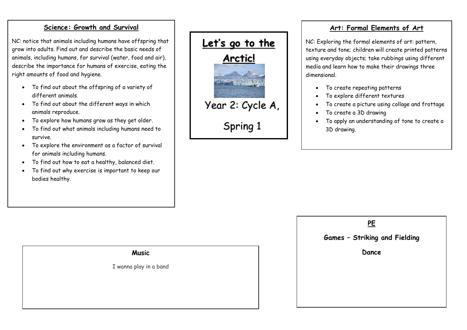#### **Science: Growth and Survival**

NC: notice that animals including humans have offspring that grow into adults. Find out and describe the basic needs of animals, including humans, for survival (water, food and air), describe the importance for humans of exercise, eating the right amounts of food and hygiene.

- To find out about the offspring of a variety of different animals.
- To find out about the different ways in which animals reproduce.
- To explore how humans grow as they get older.
- To find out what animals including humans need to survive.
- To explore the environment as a factor of survival for animals including humans.
- To find out how to eat a healthy, balanced diet.
- To find out why exercise is important to keep our bodies healthy.



### **Art: Formal Elements of Art**

NC: Exploring the formal elements of art: pattern, texture and tone; children will create printed patterns using everyday objects; take rubbings using different media and learn how to make their drawings three dimensional.

- To create repeating patterns
- To explore different textures
- To create a picture using collage and frottage
- To create a 3D drawing
- To apply an understanding of tone to create a 3D drawing.

## **PE Games – Striking and Fielding Dance**

### **Music**

I wanna play in a band